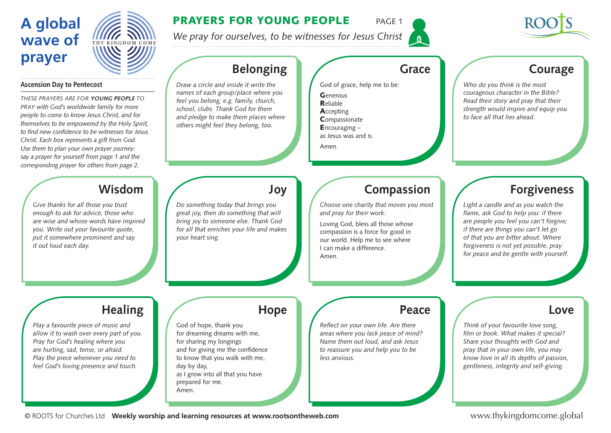# **A global wave of prayer**



### PRAYERS FOR YOUNG PEOPLE PAGE 1

*We pray for ourselves, to be witnesses for Jesus Christ*



### **Ascension Day to Pentecost**

*These prayers are for* **young people** *to pray with God's worldwide family for more people to come to know Jesus Christ, and for themselves to be empowered by the Holy Spirit, to find new confidence to be witnesses for Jesus Christ. Each box represents a gift from God. Use them to plan your own prayer journey: say a prayer for yourself from page 1 and the corresponding prayer for others from page 2.* 

### **Wisdom**

*Give thanks for all those you trust enough to ask for advice, those who are wise and whose words have inspired you. Write out your favourite quote, put it somewhere prominent and say it out loud each day.* 

# **Belonging**

*Draw a circle and inside it write the names of each group/place where you feel you belong, e.g. family, church, school, clubs. Thank God for them and pledge to make them places where others might feel they belong, too.*

### **Grace**

God of grace, help me to be:

| ${\mathsf G}$ enerous   |
|-------------------------|
| <b>R</b> eliable        |
| Accepting               |
| Compassionate           |
| <b>E</b> ncouraging $-$ |
| as Jesus was and is.    |
| Amen.                   |

### **Courage**

*Who do you think is the most courageous character in the Bible? Read their story and pray that their strength would inspire and equip you to face all that lies ahead.* 

*Do something today that brings you great joy, then do something that will bring joy to someone else. Thank God for all that enriches your life and makes your heart sing.* 

### **Compassion**

*Choose one charity that moves you most and pray for their work.*

Loving God, bless all those whose compassion is a force for good in our world. Help me to see where I can make a difference. Amen.

### **Forgiveness**

*Light a candle and as you watch the flame, ask God to help you: if there are people you feel you can't forgive; if there are things you can't let go of that you are bitter about. Where forgiveness is not yet possible, pray for peace and be gentle with yourself.* 

# **Healing**

*Play a favourite piece of music and allow it to wash over every part of you. Pray for God's healing where you are hurting, sad, tense, or afraid. Play the piece whenever you need to feel God's loving presence and touch.* 

### **Hope**

**Joy**

God of hope, thank you for dreaming dreams with me, for sharing my longings and for giving me the confidence to know that you walk with me, day by day, as I grow into all that you have prepared for me. Amen.

### **Peace**

*Reflect on your own life. Are there areas where you lack peace of mind? Name them out loud, and ask Jesus to reassure you and help you to be less anxious.*

### **Love**

*Think of your favourite love song, film or book. What makes it special? Share your thoughts with God and pray that in your own life, you may know love in all its depths of passion, gentleness, integrity and self-giving.*

© ROOTS for Churches Ltd **Weekly worship and learning resources at www.rootsontheweb.com**

www.thykingdomcome.global